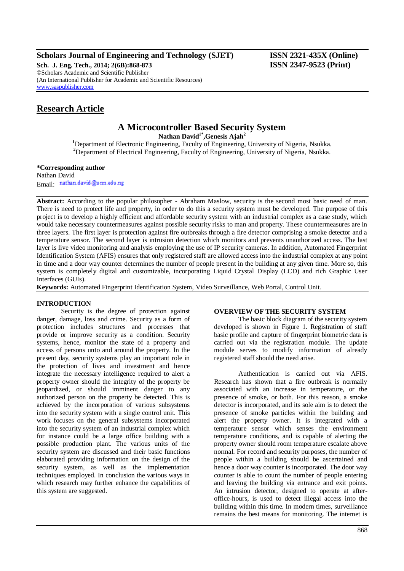# **Scholars Journal of Engineering and Technology (SJET) ISSN 2321-435X (Online)**

**Sch. J. Eng. Tech., 2014; 2(6B):868-873 ISSN 2347-9523 (Print)** ©Scholars Academic and Scientific Publisher (An International Publisher for Academic and Scientific Resources) [www.saspublisher.com](http://www.saspublisher.com/)

# **Research Article**

# **A Microcontroller Based Security System**

**Nathan David1\*,Genesis Ajah<sup>2</sup>**

**<sup>1</sup>**Department of Electronic Engineering, Faculty of Engineering, University of Nigeria, Nsukka. <sup>2</sup>Department of Electrical Engineering, Faculty of Engineering, University of Nigeria, Nsukka.

## **\*Corresponding author**

Nathan David Email nathan.david@unn.edu.ng

**Abstract:** According to the popular philosopher - Abraham Maslow, security is the second most basic need of man. There is need to protect life and property, in order to do this a security system must be developed. The purpose of this project is to develop a highly efficient and affordable security system with an industrial complex as a case study, which would take necessary countermeasures against possible security risks to man and property. These countermeasures are in three layers. The first layer is protection against fire outbreaks through a fire detector comprising a smoke detector and a temperature sensor. The second layer is intrusion detection which monitors and prevents unauthorized access. The last layer is live video monitoring and analysis employing the use of IP security cameras. In addition, Automated Fingerprint Identification System (AFIS) ensures that only registered staff are allowed access into the industrial complex at any point in time and a door way counter determines the number of people present in the building at any given time. More so, this system is completely digital and customizable, incorporating Liquid Crystal Display (LCD) and rich Graphic User Interfaces (GUIs).

**Keywords:** Automated Fingerprint Identification System, Video Surveillance, Web Portal, Control Unit.

## **INTRODUCTION**

Security is the degree of protection against danger, damage, loss and crime. Security as a form of protection includes structures and processes that provide or improve security as a condition. Security systems, hence, monitor the state of a property and access of persons unto and around the property. In the present day, security systems play an important role in the protection of lives and investment and hence integrate the necessary intelligence required to alert a property owner should the integrity of the property be jeopardized, or should imminent danger to any authorized person on the property be detected. This is achieved by the incorporation of various subsystems into the security system with a single control unit. This work focuses on the general subsystems incorporated into the security system of an industrial complex which for instance could be a large office building with a possible production plant. The various units of the security system are discussed and their basic functions elaborated providing information on the design of the security system, as well as the implementation techniques employed. In conclusion the various ways in which research may further enhance the capabilities of this system are suggested.

## **OVERVIEW OF THE SECURITY SYSTEM**

The basic block diagram of the security system developed is shown in Figure 1. Registration of staff basic profile and capture of fingerprint biometric data is carried out via the registration module. The update module serves to modify information of already registered staff should the need arise.

Authentication is carried out via AFIS. Research has shown that a fire outbreak is normally associated with an increase in temperature, or the presence of smoke, or both. For this reason, a smoke detector is incorporated, and its sole aim is to detect the presence of smoke particles within the building and alert the property owner. It is integrated with a temperature sensor which senses the environment temperature conditions, and is capable of alerting the property owner should room temperature escalate above normal. For record and security purposes, the number of people within a building should be ascertained and hence a door way counter is incorporated. The door way counter is able to count the number of people entering and leaving the building via entrance and exit points. An intrusion detector, designed to operate at afteroffice-hours, is used to detect illegal access into the building within this time. In modern times, surveillance remains the best means for monitoring. The internet is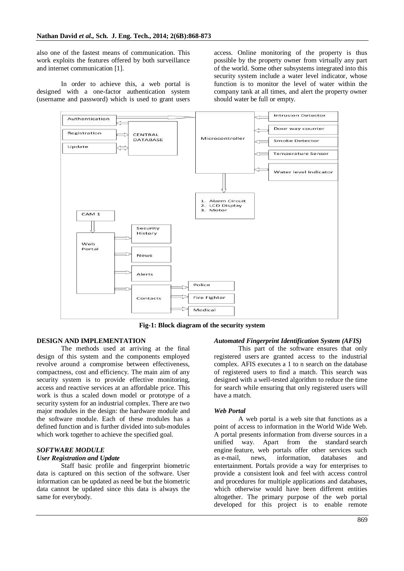also one of the fastest means of communication. This work exploits the features offered by both surveillance and internet communication [1].

In order to achieve this, a web portal is designed with a one-factor authentication system (username and password) which is used to grant users access. Online monitoring of the property is thus possible by the property owner from virtually any part of the world. Some other subsystems integrated into this security system include a water level indicator, whose function is to monitor the level of water within the company tank at all times, and alert the property owner should water be full or empty.



**Fig-1: Block diagram of the security system**

## **DESIGN AND IMPLEMENTATION**

The methods used at arriving at the final design of this system and the components employed revolve around a compromise between effectiveness, compactness, cost and efficiency. The main aim of any security system is to provide effective monitoring, access and reactive services at an affordable price. This work is thus a scaled down model or prototype of a security system for an industrial complex. There are two major modules in the design: the hardware module and the software module. Each of these modules has a defined function and is further divided into sub-modules which work together to achieve the specified goal.

## *SOFTWARE MODULE User Registration and Update*

Staff basic profile and fingerprint biometric data is captured on this section of the software. User information can be updated as need be but the biometric data cannot be updated since this data is always the same for everybody.

#### *Automated Fingerprint Identification System (AFIS)*

This part of the software ensures that only registered users are granted access to the industrial complex. AFIS executes a 1 to n search on the database of registered users to find a match. This search was designed with a well-tested algorithm to reduce the time for search while ensuring that only registered users will have a match.

#### *Web Portal*

A web portal is a web site that functions as a point of access to information in the World Wide Web. A portal presents information from diverse sources in a unified way. Apart from the standard search engine feature, web portals offer other services such as e-mail, news, information, databases and entertainment. Portals provide a way for enterprises to provide a consistent look and feel with access control and procedures for multiple applications and databases, which otherwise would have been different entities altogether. The primary purpose of the web portal developed for this project is to enable remote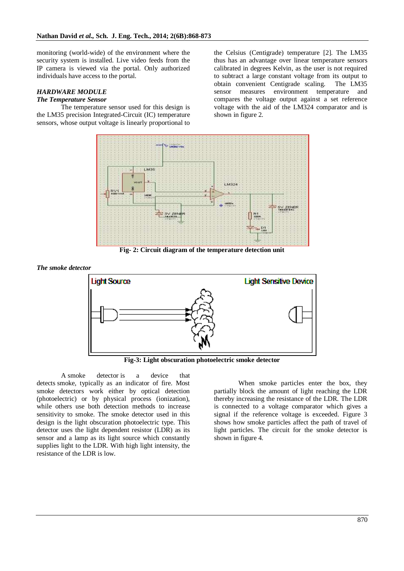monitoring (world-wide) of the environment where the security system is installed. Live video feeds from the IP camera is viewed via the portal. Only authorized individuals have access to the portal.

## *HARDWARE MODULE*

## *The Temperature Sensor*

The temperature sensor used for this design is the LM35 precision Integrated-Circuit (IC) temperature sensors, whose output voltage is linearly proportional to

the Celsius (Centigrade) temperature [2]. The LM35 thus has an advantage over linear temperature sensors calibrated in degrees Kelvin, as the user is not required to subtract a large constant voltage from its output to obtain convenient Centigrade scaling. The LM35 sensor measures environment temperature and compares the voltage output against a set reference voltage with the aid of the LM324 comparator and is shown in figure 2.



**Fig- 2: Circuit diagram of the temperature detection unit**

*The smoke detector*



**Fig-3: Light obscuration photoelectric smoke detector**

A smoke detector is a device that detects smoke, typically as an indicator of fire. Most smoke detectors work either by optical detection (photoelectric) or by physical process (ionization), while others use both detection methods to increase sensitivity to smoke. The smoke detector used in this design is the light obscuration photoelectric type. This detector uses the light dependent resistor (LDR) as its sensor and a lamp as its light source which constantly supplies light to the LDR. With high light intensity, the resistance of the LDR is low.

When smoke particles enter the box, they partially block the amount of light reaching the LDR thereby increasing the resistance of the LDR. The LDR is connected to a voltage comparator which gives a signal if the reference voltage is exceeded. Figure 3 shows how smoke particles affect the path of travel of light particles. The circuit for the smoke detector is shown in figure 4.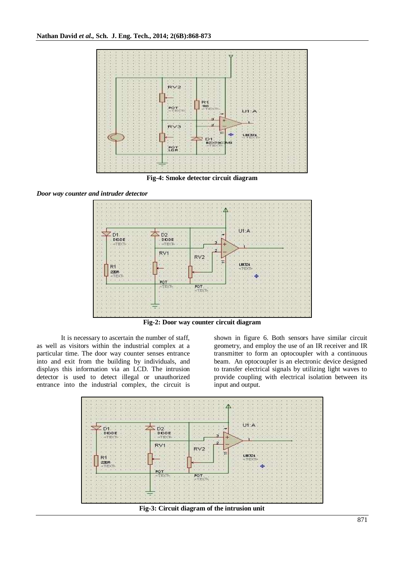

**Fig-4: Smoke detector circuit diagram**

*Door way counter and intruder detector*



**Fig-2: Door way counter circuit diagram**

It is necessary to ascertain the number of staff, as well as visitors within the industrial complex at a particular time. The door way counter senses entrance into and exit from the building by individuals, and displays this information via an LCD. The intrusion detector is used to detect illegal or unauthorized entrance into the industrial complex, the circuit is

shown in figure 6. Both sensors have similar circuit geometry, and employ the use of an IR receiver and IR transmitter to form an optocoupler with a continuous beam. An optocoupler is an electronic device designed to transfer electrical signals by utilizing light waves to provide coupling with electrical isolation between its input and output.

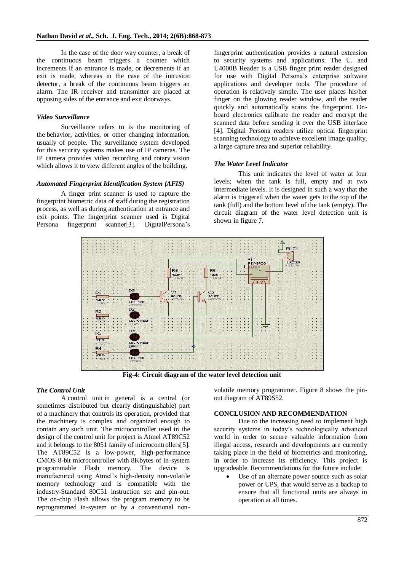In the case of the door way counter, a break of the continuous beam triggers a counter which increments if an entrance is made, or decrements if an exit is made, whereas in the case of the intrusion detector, a break of the continuous beam triggers an alarm. The IR receiver and transmitter are placed at opposing sides of the entrance and exit doorways.

#### *Video Surveillance*

Surveillance refers to is the monitoring of the behavior, activities, or other changing information, usually of people. The surveillance system developed for this security systems makes use of IP cameras. The IP camera provides video recording and rotary vision which allows it to view different angles of the building.

#### *Automated Fingerprint Identification System (AFIS)*

A finger print scanner is used to capture the fingerprint biometric data of staff during the registration process, as well as during authentication at entrance and exit points. The fingerprint scanner used is Digital Persona fingerprint scanner[3]. DigitalPersona's

fingerprint authentication provides a natural extension to security systems and applications. The U. and U4000B Reader is a USB finger print reader designed for use with Digital Persona's enterprise software applications and developer tools. The procedure of operation is relatively simple. The user places his/her finger on the glowing reader window, and the reader quickly and automatically scans the fingerprint. Onboard electronics calibrate the reader and encrypt the scanned data before sending it over the USB interface [4]. Digital Persona readers utilize optical fingerprint scanning technology to achieve excellent image quality, a large capture area and superior reliability.

#### *The Water Level Indicator*

This unit indicates the level of water at four levels; when the tank is full, empty and at two intermediate levels. It is designed in such a way that the alarm is triggered when the water gets to the top of the tank (full) and the bottom level of the tank (empty). The circuit diagram of the water level detection unit is shown in figure 7.



**Fig-4: Circuit diagram of the water level detection unit**

## *The Control Unit*

A control unit in general is a central (or sometimes distributed but clearly distinguishable) part of a machinery that controls its operation, provided that the machinery is complex and organized enough to contain any such unit. The microcontroller used in the design of the control unit for project is Atmel AT89C52 and it belongs to the 8051 family of microcontrollers[5]. The AT89C52 is a low-power, high-performance CMOS 8-bit microcontroller with 8Kbytes of in-system programmable Flash memory. The device is manufactured using Atmel's high-density non-volatile memory technology and is compatible with the industry-Standard 80C51 instruction set and pin-out. The on-chip Flash allows the program memory to be reprogrammed in-system or by a conventional nonvolatile memory programmer. Figure 8 shows the pinout diagram of AT89S52.

#### **CONCLUSION AND RECOMMENDATION**

Due to the increasing need to implement high security systems in today's technologically advanced world in order to secure valuable information from illegal access, research and developments are currently taking place in the field of biometrics and monitoring, in order to increase its efficiency. This project is upgradeable. Recommendations for the future include:

 Use of an alternate power source such as solar power or UPS, that would serve as a backup to ensure that all functional units are always in operation at all times.